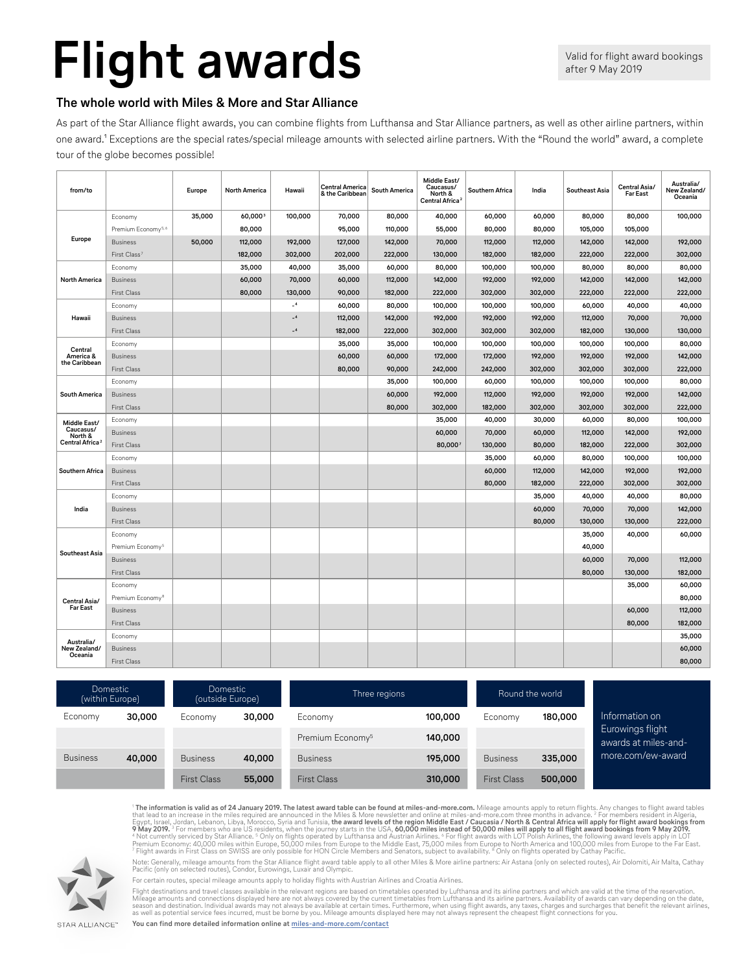## **Flight awards**

## **The whole world with Miles & More and Star Alliance**

As part of the Star Alliance flight awards, you can combine flights from Lufthansa and Star Alliance partners, as well as other airline partners, within one award.<sup>1</sup> Exceptions are the special rates/special mileage amounts with selected airline partners. With the "Round the world" award, a complete tour of the globe becomes possible!

| from/to                               |                                | Europe | <b>North America</b> | Hawaii  | <b>Central America</b><br>& the Caribbean | <b>South America</b> | Middle East/<br>Caucasus/<br>North &<br>Central Africa <sup>2</sup> | Southern Africa | India   | <b>Southeast Asia</b> | Central Asia/<br><b>Far East</b> | Australia/<br>New Zealand/<br>Oceania |
|---------------------------------------|--------------------------------|--------|----------------------|---------|-------------------------------------------|----------------------|---------------------------------------------------------------------|-----------------|---------|-----------------------|----------------------------------|---------------------------------------|
|                                       | Economy                        | 35,000 | 60,0003              | 100,000 | 70,000                                    | 80,000               | 40,000                                                              | 60,000          | 60,000  | 80,000                | 80,000                           | 100,000                               |
|                                       | Premium Economy <sup>5,6</sup> |        | 80,000               |         | 95,000                                    | 110,000              | 55,000                                                              | 80,000          | 80,000  | 105,000               | 105,000                          |                                       |
| Europe                                | <b>Business</b>                | 50,000 | 112,000              | 192,000 | 127,000                                   | 142,000              | 70,000                                                              | 112,000         | 112,000 | 142,000               | 142,000                          | 192,000                               |
|                                       | First Class                    |        | 182,000              | 302,000 | 202,000                                   | 222,000              | 130,000                                                             | 182,000         | 182,000 | 222,000               | 222,000                          | 302,000                               |
| North America                         | Economy                        |        | 35,000               | 40,000  | 35,000                                    | 60,000               | 80,000                                                              | 100,000         | 100,000 | 80,000                | 80,000                           | 80,000                                |
|                                       | <b>Business</b>                |        | 60,000               | 70,000  | 60,000                                    | 112,000              | 142,000                                                             | 192,000         | 192,000 | 142,000               | 142,000                          | 142,000                               |
|                                       | First Class                    |        | 80,000               | 130,000 | 90,000                                    | 182,000              | 222,000                                                             | 302,000         | 302,000 | 222,000               | 222,000                          | 222,000                               |
|                                       | Economy                        |        |                      | $-4$    | 60,000                                    | 80,000               | 100,000                                                             | 100,000         | 100,000 | 60,000                | 40,000                           | 40,000                                |
| Hawaii                                | <b>Business</b>                |        |                      | $-4$    | 112,000                                   | 142,000              | 192,000                                                             | 192,000         | 192,000 | 112,000               | 70,000                           | 70,000                                |
|                                       | <b>First Class</b>             |        |                      | $-4$    | 182,000                                   | 222,000              | 302,000                                                             | 302,000         | 302,000 | 182,000               | 130,000                          | 130,000                               |
|                                       | Economy                        |        |                      |         | 35,000                                    | 35,000               | 100,000                                                             | 100,000         | 100,000 | 100,000               | 100,000                          | 80,000                                |
| Central<br>America &                  | <b>Business</b>                |        |                      |         | 60,000                                    | 60,000               | 172,000                                                             | 172,000         | 192,000 | 192,000               | 192,000                          | 142,000                               |
| the Caribbean                         | First Class                    |        |                      |         | 80,000                                    | 90,000               | 242,000                                                             | 242,000         | 302,000 | 302,000               | 302,000                          | 222,000                               |
|                                       | Economy                        |        |                      |         |                                           | 35,000               | 100,000                                                             | 60,000          | 100,000 | 100,000               | 100,000                          | 80,000                                |
| South America                         | <b>Business</b>                |        |                      |         |                                           | 60,000               | 192,000                                                             | 112,000         | 192,000 | 192,000               | 192,000                          | 142,000                               |
|                                       | <b>First Class</b>             |        |                      |         |                                           | 80,000               | 302,000                                                             | 182,000         | 302,000 | 302,000               | 302,000                          | 222,000                               |
| Middle East/                          | Economy                        |        |                      |         |                                           |                      | 35,000                                                              | 40,000          | 30,000  | 60,000                | 80,000                           | 100,000                               |
| Caucasus/<br>North &                  | <b>Business</b>                |        |                      |         |                                           |                      | 60,000                                                              | 70,000          | 60,000  | 112,000               | 142,000                          | 192,000                               |
| Central Africa <sup>:</sup>           | First Class                    |        |                      |         |                                           |                      | 80,000                                                              | 130,000         | 80,000  | 182,000               | 222,000                          | 302,000                               |
|                                       | Economy                        |        |                      |         |                                           |                      |                                                                     | 35,000          | 60,000  | 80,000                | 100,000                          | 100,000                               |
| <b>Southern Africa</b>                | <b>Business</b>                |        |                      |         |                                           |                      |                                                                     | 60,000          | 112,000 | 142,000               | 192,000                          | 192,000                               |
|                                       | <b>First Class</b>             |        |                      |         |                                           |                      |                                                                     | 80,000          | 182,000 | 222,000               | 302,000                          | 302,000                               |
|                                       | Economy                        |        |                      |         |                                           |                      |                                                                     |                 | 35,000  | 40,000                | 40,000                           | 80,000                                |
| India                                 | <b>Business</b>                |        |                      |         |                                           |                      |                                                                     |                 | 60,000  | 70,000                | 70,000                           | 142,000                               |
|                                       | <b>First Class</b>             |        |                      |         |                                           |                      |                                                                     |                 | 80,000  | 130,000               | 130,000                          | 222,000                               |
| <b>Southeast Asia</b>                 | Economy                        |        |                      |         |                                           |                      |                                                                     |                 |         | 35,000                | 40,000                           | 60,000                                |
|                                       | Premium Economy <sup>5</sup>   |        |                      |         |                                           |                      |                                                                     |                 |         | 40,000                |                                  |                                       |
|                                       | <b>Business</b>                |        |                      |         |                                           |                      |                                                                     |                 |         | 60,000                | 70,000                           | 112,000                               |
|                                       | First Class                    |        |                      |         |                                           |                      |                                                                     |                 |         | 80,000                | 130,000                          | 182,000                               |
| Central Asia/<br><b>Far East</b>      | Economy                        |        |                      |         |                                           |                      |                                                                     |                 |         |                       | 35,000                           | 60,000                                |
|                                       | Premium Economy <sup>8</sup>   |        |                      |         |                                           |                      |                                                                     |                 |         |                       |                                  | 80,000                                |
|                                       | <b>Business</b>                |        |                      |         |                                           |                      |                                                                     |                 |         |                       | 60,000                           | 112,000                               |
|                                       | <b>First Class</b>             |        |                      |         |                                           |                      |                                                                     |                 |         |                       | 80,000                           | 182,000                               |
| Australia/<br>New Zealand/<br>Oceania | Economy                        |        |                      |         |                                           |                      |                                                                     |                 |         |                       |                                  | 35,000                                |
|                                       | <b>Business</b>                |        |                      |         |                                           |                      |                                                                     |                 |         |                       |                                  | 60,000                                |
|                                       | <b>First Class</b>             |        |                      |         |                                           |                      |                                                                     |                 |         |                       |                                  | 80,000                                |

| Domestic<br>(within Europe) |        | <b>Domestic</b><br>(outside Europe) |        | Three regions                |         | Round the world    |         |                                          |  |
|-----------------------------|--------|-------------------------------------|--------|------------------------------|---------|--------------------|---------|------------------------------------------|--|
| Economy                     | 30,000 | Economy                             | 30,000 | Economy                      | 100,000 | Economy            | 180,000 | Information on                           |  |
|                             |        |                                     |        | Premium Economy <sup>5</sup> | 140,000 |                    |         | Eurowings flight<br>awards at miles-and- |  |
| <b>Business</b>             | 40,000 | <b>Business</b>                     | 40,000 | <b>Business</b>              | 195,000 | <b>Business</b>    | 335,000 | more.com/ew-award                        |  |
|                             |        | <b>First Class</b>                  | 55,000 | <b>First Class</b>           | 310,000 | <b>First Class</b> | 500,000 |                                          |  |

<sup>1</sup> **The information is valid as of 24 January 2019. The latest award table can be found at miles-and-more.com.** Mileage amounts apply to return flights. Any changes to flight award tables that lead to an increase in the miles required are announced in the Miles & More newsletter and online at miles-and-more.com three months in advance. <sup>2</sup> For members resident in Algeria,<br>Egypt, Israel, Jordan, Lebanon, Lib

Note: Generally, mileage amounts from the Star Alliance flight award table apply to all other Miles & More airline partners: Air Astana (only on selected routes), Air Dolomiti, Air Malta, Cathay Pacific (only on selected routes), Condor, Eurowings, Luxair and Olympic.



For certain routes, special mileage amounts apply to holiday flights with Austrian Airlines and Croatia Airlines.

Flight destinations and travel classes available in the relevant regions are based on timetables operated by Lufthansa and its airline partners and which are valid at the time of the reservation.<br>Mileage amounts and connec

**You can find more detailed information online at [miles-and-more.com/contact](http://miles-and-more.com/contact)**